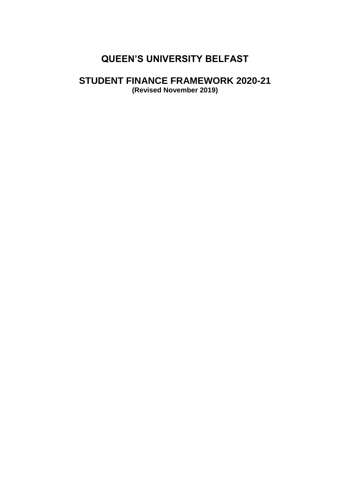# **QUEEN'S UNIVERSITY BELFAST**

# **STUDENT FINANCE FRAMEWORK 2020-21**

**(Revised November 2019)**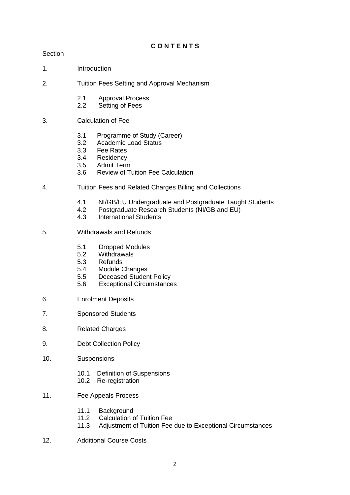# **C O N T E N T S**

## Section

- 1. Introduction
- 2. Tuition Fees Setting and Approval Mechanism
	- 2.1 Approval Process
	- 2.2 Setting of Fees
- 3. Calculation of Fee
	- 3.1 Programme of Study (Career)<br>3.2 Academic Load Status
	- Academic Load Status
	- 3.3 Fee Rates
	- 3.4 Residency
	- 3.5 Admit Term
	- 3.6 Review of Tuition Fee Calculation
- 4. Tuition Fees and Related Charges Billing and Collections
	- 4.1 NI/GB/EU Undergraduate and Postgraduate Taught Students
	- 4.2 Postgraduate Research Students (NI/GB and EU)
	- 4.3 International Students
- 5. Withdrawals and Refunds
	- 5.1 Dropped Modules<br>5.2 Withdrawals
	- 5.2 Withdrawals
	- **Refunds**
	- 5.4 Module Changes
	- 5.5 Deceased Student Policy
	- 5.6 Exceptional Circumstances
- 6. Enrolment Deposits
- 7. Sponsored Students
- 8. Related Charges
- 9. Debt Collection Policy
- 10. Suspensions
	- 10.1 Definition of Suspensions
	- 10.2 Re-registration
- 11. Fee Appeals Process
	- 11.1 Background
	- 11.2 Calculation of Tuition Fee
	- 11.3 Adjustment of Tuition Fee due to Exceptional Circumstances
- 12. Additional Course Costs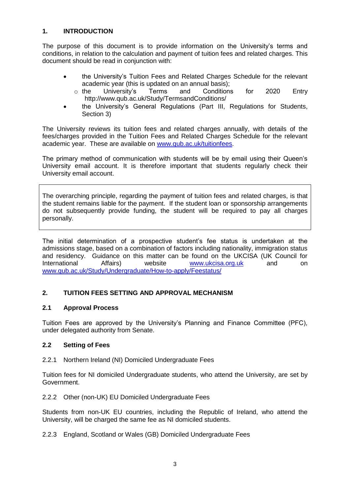# **1. INTRODUCTION**

The purpose of this document is to provide information on the University's terms and conditions, in relation to the calculation and payment of tuition fees and related charges. This document should be read in conjunction with:

- the University's Tuition Fees and Related Charges Schedule for the relevant academic year (this is updated on an annual basis);<br>the University's Terms and Conditions
	- o the University's Terms and Conditions for 2020 Entry http://www.qub.ac.uk/Study/TermsandConditions/
- the University's General Regulations (Part III, Regulations for Students, Section 3)

The University reviews its tuition fees and related charges annually, with details of the fees/charges provided in the Tuition Fees and Related Charges Schedule for the relevant academic year. These are available on [www.qub.ac.uk/tuitionfees.](http://www.qub.ac.uk/tuitionfees)

The primary method of communication with students will be by email using their Queen's University email account. It is therefore important that students regularly check their University email account.

The overarching principle, regarding the payment of tuition fees and related charges, is that the student remains liable for the payment. If the student loan or sponsorship arrangements do not subsequently provide funding, the student will be required to pay all charges personally.

The initial determination of a prospective student's fee status is undertaken at the admissions stage, based on a combination of factors including nationality, immigration status and residency. Guidance on this matter can be found on the UKCISA (UK Council for International Affairs) website [www.ukcisa.org.uk](http://www.ukcisa.org.uk/) and on [www.qub.ac.uk/Study/Undergraduate/How-to-apply/Feestatus/](http://www.qub.ac.uk/Study/Undergraduate/How-to-apply/Feestatus/)

# **2. TUITION FEES SETTING AND APPROVAL MECHANISM**

## **2.1 Approval Process**

Tuition Fees are approved by the University's Planning and Finance Committee (PFC), under delegated authority from Senate.

## **2.2 Setting of Fees**

2.2.1 Northern Ireland (NI) Domiciled Undergraduate Fees

Tuition fees for NI domiciled Undergraduate students, who attend the University, are set by Government.

2.2.2 Other (non-UK) EU Domiciled Undergraduate Fees

Students from non-UK EU countries, including the Republic of Ireland, who attend the University, will be charged the same fee as NI domiciled students.

## 2.2.3 England, Scotland or Wales (GB) Domiciled Undergraduate Fees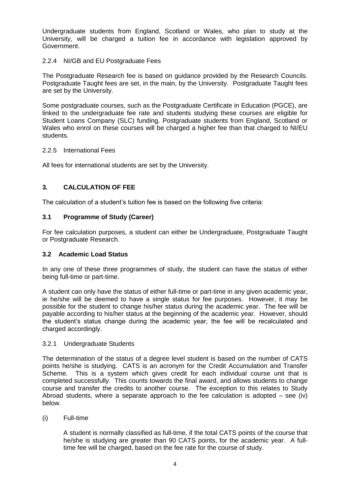Undergraduate students from England, Scotland or Wales, who plan to study at the University, will be charged a tuition fee in accordance with legislation approved by Government.

## 2.2.4 NI/GB and EU Postgraduate Fees

The Postgraduate Research fee is based on guidance provided by the Research Councils. Postgraduate Taught fees are set, in the main, by the University. Postgraduate Taught fees are set by the University.

Some postgraduate courses, such as the Postgraduate Certificate in Education (PGCE), are linked to the undergraduate fee rate and students studying these courses are eligible for Student Loans Company (SLC) funding. Postgraduate students from England, Scotland or Wales who enrol on these courses will be charged a higher fee than that charged to NI/EU students.

## 2.2.5 International Fees

All fees for international students are set by the University.

# **3***.* **CALCULATION OF FEE**

The calculation of a student's tuition fee is based on the following five criteria:

# **3.1 Programme of Study (Career)**

For fee calculation purposes, a student can either be Undergraduate, Postgraduate Taught or Postgraduate Research.

## **3.2 Academic Load Status**

In any one of these three programmes of study, the student can have the status of either being full-time or part-time.

A student can only have the status of either full-time or part-time in any given academic year, ie he/she will be deemed to have a single status for fee purposes. However, it may be possible for the student to change his/her status during the academic year. The fee will be payable according to his/her status at the beginning of the academic year. However, should the student's status change during the academic year, the fee will be recalculated and charged accordingly.

## 3.2.1 Undergraduate Students

The determination of the status of a degree level student is based on the number of CATS points he/she is studying. CATS is an acronym for the Credit Accumulation and Transfer Scheme. This is a system which gives credit for each individual course unit that is completed successfully. This counts towards the final award, and allows students to change course and transfer the credits to another course. The exception to this relates to Study Abroad students, where a separate approach to the fee calculation is adopted  $-$  see (iv) below.

(i) Full-time

A student is normally classified as full-time, if the total CATS points of the course that he/she is studying are greater than 90 CATS points, for the academic year. A fulltime fee will be charged, based on the fee rate for the course of study.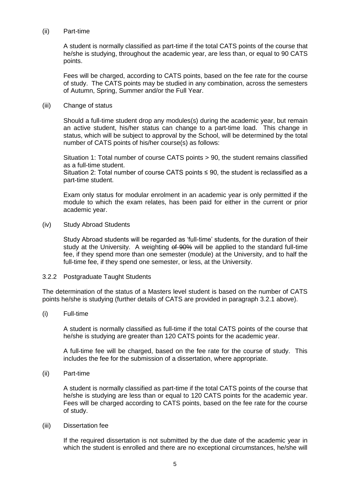#### (ii) Part-time

A student is normally classified as part-time if the total CATS points of the course that he/she is studying, throughout the academic year, are less than, or equal to 90 CATS points.

Fees will be charged, according to CATS points, based on the fee rate for the course of study. The CATS points may be studied in any combination, across the semesters of Autumn, Spring, Summer and/or the Full Year.

#### (iii) Change of status

Should a full-time student drop any modules(s) during the academic year, but remain an active student, his/her status can change to a part-time load. This change in status, which will be subject to approval by the School, will be determined by the total number of CATS points of his/her course(s) as follows:

Situation 1: Total number of course CATS points > 90, the student remains classified as a full-time student.

Situation 2: Total number of course CATS points ≤ 90, the student is reclassified as a part-time student.

Exam only status for modular enrolment in an academic year is only permitted if the module to which the exam relates, has been paid for either in the current or prior academic year.

#### (iv) Study Abroad Students

Study Abroad students will be regarded as 'full-time' students, for the duration of their study at the University. A weighting of 90% will be applied to the standard full-time fee, if they spend more than one semester (module) at the University, and to half the full-time fee, if they spend one semester, or less, at the University.

#### 3.2.2 Postgraduate Taught Students

The determination of the status of a Masters level student is based on the number of CATS points he/she is studying (further details of CATS are provided in paragraph 3.2.1 above).

(i) Full-time

A student is normally classified as full-time if the total CATS points of the course that he/she is studying are greater than 120 CATS points for the academic year.

A full-time fee will be charged, based on the fee rate for the course of study. This includes the fee for the submission of a dissertation, where appropriate.

(ii) Part-time

A student is normally classified as part-time if the total CATS points of the course that he/she is studying are less than or equal to 120 CATS points for the academic year. Fees will be charged according to CATS points, based on the fee rate for the course of study.

#### (iii) Dissertation fee

If the required dissertation is not submitted by the due date of the academic year in which the student is enrolled and there are no exceptional circumstances, he/she will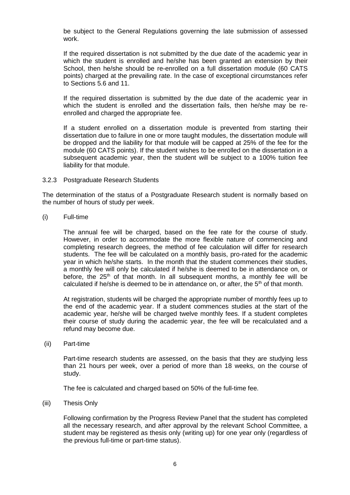be subject to the General Regulations governing the late submission of assessed work.

If the required dissertation is not submitted by the due date of the academic year in which the student is enrolled and he/she has been granted an extension by their School, then he/she should be re-enrolled on a full dissertation module (60 CATS points) charged at the prevailing rate. In the case of exceptional circumstances refer to Sections 5.6 and 11.

If the required dissertation is submitted by the due date of the academic year in which the student is enrolled and the dissertation fails, then he/she may be reenrolled and charged the appropriate fee.

If a student enrolled on a dissertation module is prevented from starting their dissertation due to failure in one or more taught modules, the dissertation module will be dropped and the liability for that module will be capped at 25% of the fee for the module (60 CATS points). If the student wishes to be enrolled on the dissertation in a subsequent academic year, then the student will be subject to a 100% tuition fee liability for that module.

#### 3.2.3 Postgraduate Research Students

The determination of the status of a Postgraduate Research student is normally based on the number of hours of study per week.

(i) Full-time

The annual fee will be charged, based on the fee rate for the course of study. However, in order to accommodate the more flexible nature of commencing and completing research degrees, the method of fee calculation will differ for research students. The fee will be calculated on a monthly basis, pro-rated for the academic year in which he/she starts. In the month that the student commences their studies, a monthly fee will only be calculated if he/she is deemed to be in attendance on, or before, the  $25<sup>th</sup>$  of that month. In all subsequent months, a monthly fee will be calculated if he/she is deemed to be in attendance on, or after, the  $5<sup>th</sup>$  of that month.

At registration, students will be charged the appropriate number of monthly fees up to the end of the academic year. If a student commences studies at the start of the academic year, he/she will be charged twelve monthly fees. If a student completes their course of study during the academic year, the fee will be recalculated and a refund may become due.

(ii) Part-time

Part-time research students are assessed, on the basis that they are studying less than 21 hours per week, over a period of more than 18 weeks, on the course of study.

The fee is calculated and charged based on 50% of the full-time fee.

(iii) Thesis Only

Following confirmation by the Progress Review Panel that the student has completed all the necessary research, and after approval by the relevant School Committee, a student may be registered as thesis only (writing up) for one year only (regardless of the previous full-time or part-time status).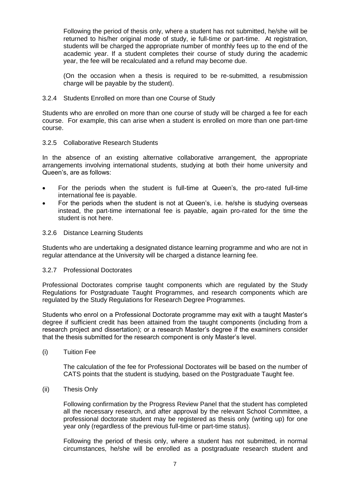Following the period of thesis only, where a student has not submitted, he/she will be returned to his/her original mode of study, ie full-time or part-time. At registration, students will be charged the appropriate number of monthly fees up to the end of the academic year. If a student completes their course of study during the academic year, the fee will be recalculated and a refund may become due.

(On the occasion when a thesis is required to be re-submitted, a resubmission charge will be payable by the student).

## 3.2.4 Students Enrolled on more than one Course of Study

Students who are enrolled on more than one course of study will be charged a fee for each course. For example, this can arise when a student is enrolled on more than one part-time course.

#### 3.2.5 Collaborative Research Students

In the absence of an existing alternative collaborative arrangement, the appropriate arrangements involving international students, studying at both their home university and Queen's, are as follows:

- For the periods when the student is full-time at Queen's, the pro-rated full-time international fee is payable.
- For the periods when the student is not at Queen's, i.e. he/she is studying overseas instead, the part-time international fee is payable, again pro-rated for the time the student is not here.

#### 3.2.6 Distance Learning Students

Students who are undertaking a designated distance learning programme and who are not in regular attendance at the University will be charged a distance learning fee.

#### 3.2.7 Professional Doctorates

Professional Doctorates comprise taught components which are regulated by the Study Regulations for Postgraduate Taught Programmes, and research components which are regulated by the Study Regulations for Research Degree Programmes.

Students who enrol on a Professional Doctorate programme may exit with a taught Master's degree if sufficient credit has been attained from the taught components (including from a research project and dissertation); or a research Master's degree if the examiners consider that the thesis submitted for the research component is only Master's level.

(i) Tuition Fee

The calculation of the fee for Professional Doctorates will be based on the number of CATS points that the student is studying, based on the Postgraduate Taught fee.

#### (ii) Thesis Only

Following confirmation by the Progress Review Panel that the student has completed all the necessary research, and after approval by the relevant School Committee, a professional doctorate student may be registered as thesis only (writing up) for one year only (regardless of the previous full-time or part-time status).

Following the period of thesis only, where a student has not submitted, in normal circumstances, he/she will be enrolled as a postgraduate research student and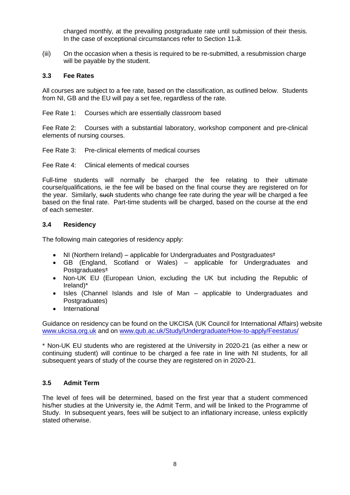charged monthly, at the prevailing postgraduate rate until submission of their thesis. In the case of exceptional circumstances refer to Section 11.3.

(iii) On the occasion when a thesis is required to be re-submitted, a resubmission charge will be payable by the student.

#### **3.3 Fee Rates**

All courses are subject to a fee rate, based on the classification, as outlined below. Students from NI, GB and the EU will pay a set fee, regardless of the rate.

Fee Rate 1: Courses which are essentially classroom based

Fee Rate 2: Courses with a substantial laboratory, workshop component and pre-clinical elements of nursing courses.

Fee Rate 3: Pre-clinical elements of medical courses

Fee Rate 4: Clinical elements of medical courses

Full-time students will normally be charged the fee relating to their ultimate course/qualifications, ie the fee will be based on the final course they are registered on for the year. Similarly, such students who change fee rate during the year will be charged a fee based on the final rate. Part-time students will be charged, based on the course at the end of each semester.

#### **3.4 Residency**

The following main categories of residency apply:

- NI (Northern Ireland) applicable for Undergraduates and Postgraduates\*
- GB (England, Scotland or Wales) applicable for Undergraduates and Postgraduates\*
- Non-UK EU (European Union, excluding the UK but including the Republic of Ireland)\*
- Isles (Channel Islands and Isle of Man applicable to Undergraduates and Postgraduates)
- International

Guidance on residency can be found on the UKCISA (UK Council for International Affairs) website [www.ukcisa.org.uk](http://www.ukcisa.org.uk/) and on [www.qub.ac.uk/Study/Undergraduate/How-to-apply/Feestatus/](http://www.qub.ac.uk/Study/Undergraduate/How-to-apply/Feestatus/)

\* Non-UK EU students who are registered at the University in 2020-21 (as either a new or continuing student) will continue to be charged a fee rate in line with NI students, for all subsequent years of study of the course they are registered on in 2020-21.

# **3.5 Admit Term**

The level of fees will be determined, based on the first year that a student commenced his/her studies at the University ie, the Admit Term, and will be linked to the Programme of Study. In subsequent years, fees will be subject to an inflationary increase, unless explicitly stated otherwise.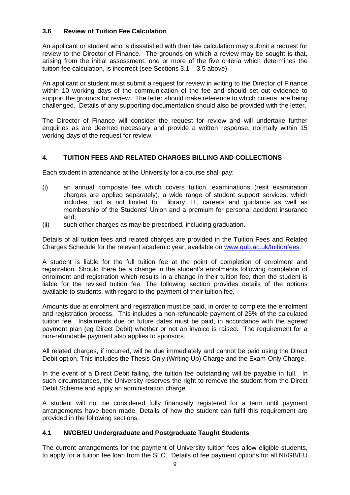# **3.6 Review of Tuition Fee Calculation**

An applicant or student who is dissatisfied with their fee calculation may submit a request for review to the Director of Finance. The grounds on which a review may be sought is that, arising from the initial assessment, one or more of the five criteria which determines the tuition fee calculation, is incorrect (see Sections 3.1 – 3.5 above).

An applicant or student must submit a request for review in writing to the Director of Finance within 10 working days of the communication of the fee and should set out evidence to support the grounds for review. The letter should make reference to which criteria, are being challenged. Details of any supporting documentation should also be provided with the letter.

The Director of Finance will consider the request for review and will undertake further enquiries as are deemed necessary and provide a written response, normally within 15 working days of the request for review.

## **4. TUITION FEES AND RELATED CHARGES BILLING AND COLLECTIONS**

Each student in attendance at the University for a course shall pay:

- (i) an annual composite fee which covers tuition, examinations (resit examination charges are applied separately), a wide range of student support services, which includes, but is not limited to, library, IT, careers and guidance as well as membership of the Students' Union and a premium for personal accident insurance and;
- (ii) such other charges as may be prescribed, including graduation.

Details of all tuition fees and related charges are provided in the Tuition Fees and Related Charges Schedule for the relevant academic year, available on [www.qub.ac.uk/tuitionfees.](http://www.qub.ac.uk/tuitionfees)

A student is liable for the full tuition fee at the point of completion of enrolment and registration. Should there be a change in the student's enrolments following completion of enrolment and registration which results in a change in their tuition fee, then the student is liable for the revised tuition fee. The following section provides details of the options available to students, with regard to the payment of their tuition fee.

Amounts due at enrolment and registration must be paid, in order to complete the enrolment and registration process. This includes a non-refundable payment of 25% of the calculated tuition fee. Instalments due on future dates must be paid, in accordance with the agreed payment plan (eg Direct Debit) whether or not an invoice is raised. The requirement for a non-refundable payment also applies to sponsors.

All related charges, if incurred, will be due immediately and cannot be paid using the Direct Debit option. This includes the Thesis Only (Writing Up) Charge and the Exam-Only Charge.

In the event of a Direct Debit failing, the tuition fee outstanding will be payable in full.In such circumstances, the University reserves the right to remove the student from the Direct Debit Scheme and apply an administration charge.

A student will not be considered fully financially registered for a term until payment arrangements have been made. Details of how the student can fulfil this requirement are provided in the following sections.

## **4.1 NI/GB/EU Undergraduate and Postgraduate Taught Students**

The current arrangements for the payment of University tuition fees allow eligible students, to apply for a tuition fee loan from the SLC. Details of fee payment options for all NI/GB/EU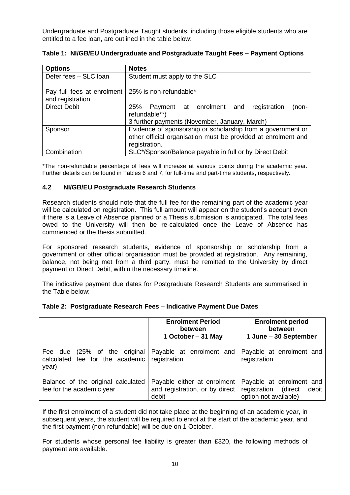Undergraduate and Postgraduate Taught students, including those eligible students who are entitled to a fee loan, are outlined in the table below:

| <b>Options</b>                                                          | <b>Notes</b>                                                                                                                                  |  |  |  |
|-------------------------------------------------------------------------|-----------------------------------------------------------------------------------------------------------------------------------------------|--|--|--|
| Defer fees - SLC loan                                                   | Student must apply to the SLC                                                                                                                 |  |  |  |
| Pay full fees at enrolment   25% is non-refundable*<br>and registration |                                                                                                                                               |  |  |  |
| <b>Direct Debit</b>                                                     | registration<br>25%<br>Payment at enrolment and<br>(non-<br>refundable**)<br>3 further payments (November, January, March)                    |  |  |  |
| Sponsor                                                                 | Evidence of sponsorship or scholarship from a government or<br>other official organisation must be provided at enrolment and<br>registration. |  |  |  |
| Combination                                                             | SLC*/Sponsor/Balance payable in full or by Direct Debit                                                                                       |  |  |  |

**Table 1: NI/GB/EU Undergraduate and Postgraduate Taught Fees – Payment Options**

\*The non-refundable percentage of fees will increase at various points during the academic year. Further details can be found in Tables 6 and 7, for full-time and part-time students, respectively.

## **4.2 NI/GB/EU Postgraduate Research Students**

Research students should note that the full fee for the remaining part of the academic year will be calculated on registration. This full amount will appear on the student's account even if there is a Leave of Absence planned or a Thesis submission is anticipated. The total fees owed to the University will then be re-calculated once the Leave of Absence has commenced or the thesis submitted.

For sponsored research students, evidence of sponsorship or scholarship from a government or other official organisation must be provided at registration. Any remaining, balance, not being met from a third party, must be remitted to the University by direct payment or Direct Debit, within the necessary timeline.

The indicative payment due dates for Postgraduate Research Students are summarised in the Table below:

|                                                                          | <b>Enrolment Period</b><br>between<br>1 October - 31 May               | <b>Enrolment period</b><br>between<br>1 June - 30 September                        |
|--------------------------------------------------------------------------|------------------------------------------------------------------------|------------------------------------------------------------------------------------|
| Fee due (25% of the original<br>calculated fee for the academic<br>year) | Payable at enrolment and<br>registration                               | Payable at enrolment and<br>registration                                           |
| Balance of the original calculated<br>fee for the academic year          | Payable either at enrolment<br>and registration, or by direct<br>debit | Payable at enrolment and<br>registration (direct<br>debit<br>option not available) |

## **Table 2: Postgraduate Research Fees – Indicative Payment Due Dates**

If the first enrolment of a student did not take place at the beginning of an academic year, in subsequent years, the student will be required to enrol at the start of the academic year, and the first payment (non-refundable) will be due on 1 October.

For students whose personal fee liability is greater than £320, the following methods of payment are available.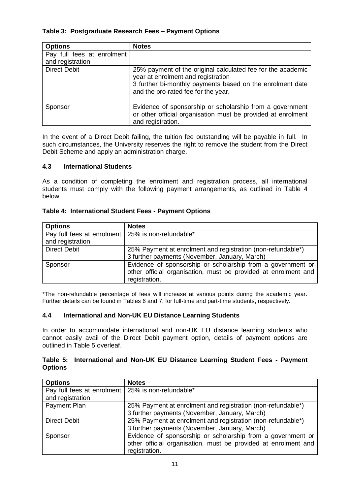# **Table 3: Postgraduate Research Fees – Payment Options**

| <b>Options</b>             | <b>Notes</b>                                                                                                                                                                                          |
|----------------------------|-------------------------------------------------------------------------------------------------------------------------------------------------------------------------------------------------------|
| Pay full fees at enrolment |                                                                                                                                                                                                       |
| and registration           |                                                                                                                                                                                                       |
| <b>Direct Debit</b>        | 25% payment of the original calculated fee for the academic<br>year at enrolment and registration<br>3 further bi-monthly payments based on the enrolment date<br>and the pro-rated fee for the year. |
| Sponsor                    | Evidence of sponsorship or scholarship from a government<br>or other official organisation must be provided at enrolment<br>and registration.                                                         |

In the event of a Direct Debit failing, the tuition fee outstanding will be payable in full. In such circumstances, the University reserves the right to remove the student from the Direct Debit Scheme and apply an administration charge.

## **4.3 International Students**

As a condition of completing the enrolment and registration process, all international students must comply with the following payment arrangements, as outlined in Table 4 below.

## **Table 4: International Student Fees - Payment Options**

| <b>Options</b>                                                          | <b>Notes</b>                                                                                                                                   |
|-------------------------------------------------------------------------|------------------------------------------------------------------------------------------------------------------------------------------------|
| Pay full fees at enrolment   25% is non-refundable*<br>and registration |                                                                                                                                                |
| <b>Direct Debit</b>                                                     | 25% Payment at enrolment and registration (non-refundable*)<br>3 further payments (November, January, March)                                   |
| Sponsor                                                                 | Evidence of sponsorship or scholarship from a government or<br>other official organisation, must be provided at enrolment and<br>registration. |

\*The non-refundable percentage of fees will increase at various points during the academic year. Further details can be found in Tables 6 and 7, for full-time and part-time students, respectively.

## **4.4 International and Non-UK EU Distance Learning Students**

In order to accommodate international and non-UK EU distance learning students who cannot easily avail of the Direct Debit payment option, details of payment options are outlined in Table 5 overleaf.

## **Table 5: International and Non-UK EU Distance Learning Student Fees - Payment Options**

| <b>Options</b>                                      | <b>Notes</b>                                                   |  |  |
|-----------------------------------------------------|----------------------------------------------------------------|--|--|
| Pay full fees at enrolment   25% is non-refundable* |                                                                |  |  |
| and registration                                    |                                                                |  |  |
| Payment Plan                                        | 25% Payment at enrolment and registration (non-refundable*)    |  |  |
|                                                     | 3 further payments (November, January, March)                  |  |  |
| <b>Direct Debit</b>                                 | 25% Payment at enrolment and registration (non-refundable*)    |  |  |
|                                                     | 3 further payments (November, January, March)                  |  |  |
| Sponsor                                             | Evidence of sponsorship or scholarship from a government or    |  |  |
|                                                     | other official organisation, must be provided at enrolment and |  |  |
|                                                     | registration.                                                  |  |  |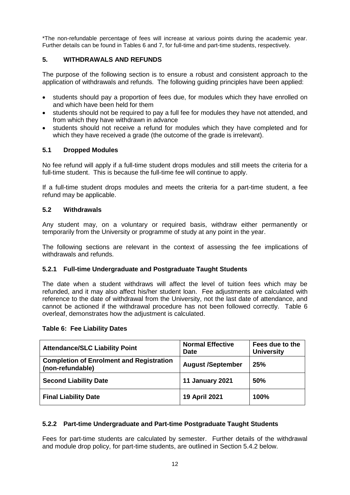\*The non-refundable percentage of fees will increase at various points during the academic year. Further details can be found in Tables 6 and 7, for full-time and part-time students, respectively.

## **5. WITHDRAWALS AND REFUNDS**

The purpose of the following section is to ensure a robust and consistent approach to the application of withdrawals and refunds. The following guiding principles have been applied:

- students should pay a proportion of fees due, for modules which they have enrolled on and which have been held for them
- students should not be required to pay a full fee for modules they have not attended, and from which they have withdrawn in advance
- students should not receive a refund for modules which they have completed and for which they have received a grade (the outcome of the grade is irrelevant).

## **5.1 Dropped Modules**

No fee refund will apply if a full-time student drops modules and still meets the criteria for a full-time student. This is because the full-time fee will continue to apply.

If a full-time student drops modules and meets the criteria for a part-time student, a fee refund may be applicable.

## **5.2 Withdrawals**

Any student may, on a voluntary or required basis, withdraw either permanently or temporarily from the University or programme of study at any point in the year.

The following sections are relevant in the context of assessing the fee implications of withdrawals and refunds.

#### **5.2.1 Full-time Undergraduate and Postgraduate Taught Students**

The date when a student withdraws will affect the level of tuition fees which may be refunded, and it may also affect his/her student loan. Fee adjustments are calculated with reference to the date of withdrawal from the University, not the last date of attendance, and cannot be actioned if the withdrawal procedure has not been followed correctly. Table 6 overleaf, demonstrates how the adjustment is calculated.

#### **Table 6: Fee Liability Dates**

| <b>Attendance/SLC Liability Point</b>                               | <b>Normal Effective</b><br><b>Date</b> | Fees due to the<br><b>University</b> |
|---------------------------------------------------------------------|----------------------------------------|--------------------------------------|
| <b>Completion of Enrolment and Registration</b><br>(non-refundable) | <b>August /September</b>               | 25%                                  |
| <b>Second Liability Date</b>                                        | 11 January 2021                        | <b>50%</b>                           |
| <b>Final Liability Date</b>                                         | 19 April 2021                          | 100%                                 |

## **5.2.2 Part-time Undergraduate and Part-time Postgraduate Taught Students**

Fees for part-time students are calculated by semester. Further details of the withdrawal and module drop policy, for part-time students, are outlined in Section 5.4.2 below.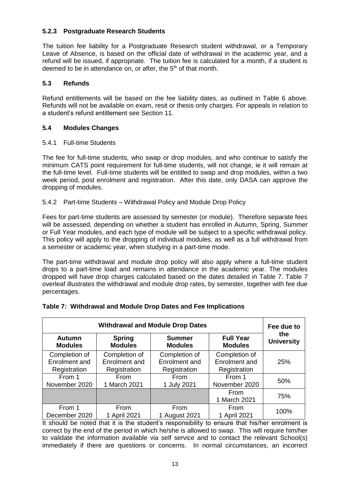# **5.2.3 Postgraduate Research Students**

The tuition fee liability for a Postgraduate Research student withdrawal, or a Temporary Leave of Absence, is based on the official date of withdrawal in the academic year, and a refund will be issued, if appropriate. The tuition fee is calculated for a month, if a student is deemed to be in attendance on, or after, the 5<sup>th</sup> of that month.

## **5.3 Refunds**

Refund entitlements will be based on the fee liability dates, as outlined in Table 6 above. Refunds will not be available on exam, resit or thesis only charges. For appeals in relation to a student's refund entitlement see Section 11.

## **5.4 Modules Changes**

## 5.4.1 Full-time Students

The fee for full-time students, who swap or drop modules, and who continue to satisfy the minimum CATS point requirement for full-time students, will not change, ie it will remain at the full-time level. Full-time students will be entitled to swap and drop modules, within a two week period, post enrolment and registration. After this date, only DASA can approve the dropping of modules.

## 5.4.2 Part-time Students – Withdrawal Policy and Module Drop Policy

Fees for part-time students are assessed by semester (or module). Therefore separate fees will be assessed, depending on whether a student has enrolled in Autumn, Spring, Summer or Full Year modules, and each type of module will be subject to a specific withdrawal policy. This policy will apply to the dropping of individual modules, as well as a full withdrawal from a semester or academic year, when studying in a part-time mode.

The part-time withdrawal and module drop policy will also apply where a full-time student drops to a part-time load and remains in attendance in the academic year. The modules dropped will have drop charges calculated based on the dates detailed in Table 7. Table 7 overleaf illustrates the withdrawal and module drop rates, by semester, together with fee due percentages.

| <b>Withdrawal and Module Drop Dates</b> |                                 |                                 |                                    | Fee due to               |  |
|-----------------------------------------|---------------------------------|---------------------------------|------------------------------------|--------------------------|--|
| <b>Autumn</b><br><b>Modules</b>         | <b>Spring</b><br><b>Modules</b> | <b>Summer</b><br><b>Modules</b> | <b>Full Year</b><br><b>Modules</b> | the<br><b>University</b> |  |
| Completion of                           | Completion of                   | Completion of                   | Completion of                      |                          |  |
| Enrolment and                           | Enrolment and                   | Enrolment and                   | Enrolment and                      | 25%                      |  |
| Registration                            | Registration                    | Registration                    | Registration                       |                          |  |
| From 1                                  | <b>From</b>                     | From                            | From 1                             | 50%                      |  |
| November 2020                           | 1 March 2021                    | 1 July 2021                     | November 2020                      |                          |  |
|                                         |                                 |                                 | From                               | 75%                      |  |
|                                         |                                 |                                 | 1 March 2021                       |                          |  |
| From 1                                  | From                            | From                            | From                               | 100%                     |  |
| December 2020                           | 1 April 2021                    | 1 August 2021                   | 1 April 2021                       |                          |  |

# **Table 7: Withdrawal and Module Drop Dates and Fee Implications**

It should be noted that it is the student's responsibility to ensure that his/her enrolment is correct by the end of the period in which he/she is allowed to swap. This will require him/her to validate the information available via self service and to contact the relevant School(s) immediately if there are questions or concerns. In normal circumstances, an incorrect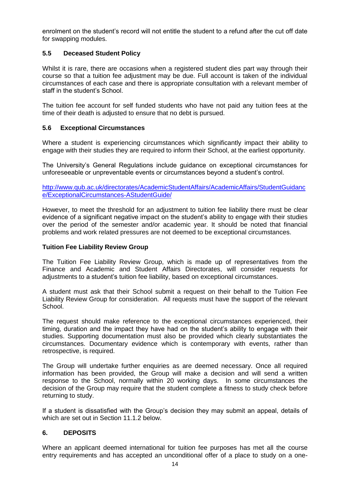enrolment on the student's record will not entitle the student to a refund after the cut off date for swapping modules.

## **5.5 Deceased Student Policy**

Whilst it is rare, there are occasions when a registered student dies part way through their course so that a tuition fee adjustment may be due. Full account is taken of the individual circumstances of each case and there is appropriate consultation with a relevant member of staff in the student's School.

The tuition fee account for self funded students who have not paid any tuition fees at the time of their death is adjusted to ensure that no debt is pursued.

## **5.6 Exceptional Circumstances**

Where a student is experiencing circumstances which significantly impact their ability to engage with their studies they are required to inform their School, at the earliest opportunity.

The University's General Regulations include guidance on exceptional circumstances for unforeseeable or unpreventable events or circumstances beyond a student's control.

[http://www.qub.ac.uk/directorates/AcademicStudentAffairs/AcademicAffairs/StudentGuidanc](http://www.qub.ac.uk/directorates/AcademicStudentAffairs/AcademicAffairs/StudentGuidance/ExceptionalCircumstances-AStudentGuide/) [e/ExceptionalCircumstances-AStudentGuide/](http://www.qub.ac.uk/directorates/AcademicStudentAffairs/AcademicAffairs/StudentGuidance/ExceptionalCircumstances-AStudentGuide/)

However, to meet the threshold for an adjustment to tuition fee liability there must be clear evidence of a significant negative impact on the student's ability to engage with their studies over the period of the semester and/or academic year. It should be noted that financial problems and work related pressures are not deemed to be exceptional circumstances.

#### **Tuition Fee Liability Review Group**

The Tuition Fee Liability Review Group, which is made up of representatives from the Finance and Academic and Student Affairs Directorates, will consider requests for adjustments to a student's tuition fee liability, based on exceptional circumstances.

A student must ask that their School submit a request on their behalf to the Tuition Fee Liability Review Group for consideration. All requests must have the support of the relevant School.

The request should make reference to the exceptional circumstances experienced, their timing, duration and the impact they have had on the student's ability to engage with their studies. Supporting documentation must also be provided which clearly substantiates the circumstances. Documentary evidence which is contemporary with events, rather than retrospective, is required.

The Group will undertake further enquiries as are deemed necessary. Once all required information has been provided, the Group will make a decision and will send a written response to the School, normally within 20 working days. In some circumstances the decision of the Group may require that the student complete a fitness to study check before returning to study.

If a student is dissatisfied with the Group's decision they may submit an appeal, details of which are set out in Section 11.1.2 below.

## **6. DEPOSITS**

Where an applicant deemed international for tuition fee purposes has met all the course entry requirements and has accepted an unconditional offer of a place to study on a one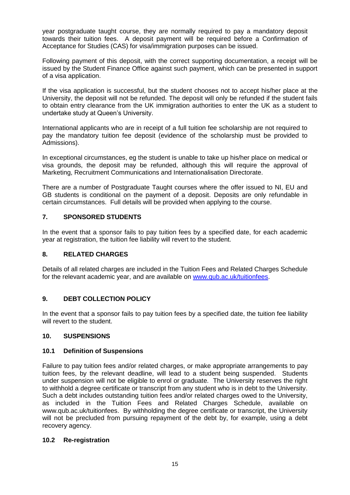year postgraduate taught course, they are normally required to pay a mandatory deposit towards their tuition fees. A deposit payment will be required before a Confirmation of Acceptance for Studies (CAS) for visa/immigration purposes can be issued.

Following payment of this deposit, with the correct supporting documentation, a receipt will be issued by the Student Finance Office against such payment, which can be presented in support of a visa application.

If the visa application is successful, but the student chooses not to accept his/her place at the University, the deposit will not be refunded. The deposit will only be refunded if the student fails to obtain entry clearance from the UK immigration authorities to enter the UK as a student to undertake study at Queen's University.

International applicants who are in receipt of a full tuition fee scholarship are not required to pay the mandatory tuition fee deposit (evidence of the scholarship must be provided to Admissions).

In exceptional circumstances, eg the student is unable to take up his/her place on medical or visa grounds, the deposit may be refunded, although this will require the approval of Marketing, Recruitment Communications and Internationalisation Directorate.

There are a number of Postgraduate Taught courses where the offer issued to NI, EU and GB students is conditional on the payment of a deposit. Deposits are only refundable in certain circumstances. Full details will be provided when applying to the course.

## **7. SPONSORED STUDENTS**

In the event that a sponsor fails to pay tuition fees by a specified date, for each academic year at registration, the tuition fee liability will revert to the student.

## **8. RELATED CHARGES**

Details of all related charges are included in the Tuition Fees and Related Charges Schedule for the relevant academic year, and are available on [www.qub.ac.uk/tuitionfees.](http://www.qub.ac.uk/tuitionfees)

## **9. DEBT COLLECTION POLICY**

In the event that a sponsor fails to pay tuition fees by a specified date, the tuition fee liability will revert to the student.

## **10. SUSPENSIONS**

## **10.1 Definition of Suspensions**

Failure to pay tuition fees and/or related charges, or make appropriate arrangements to pay tuition fees, by the relevant deadline, will lead to a student being suspended. Students under suspension will not be eligible to enrol or graduate. The University reserves the right to withhold a degree certificate or transcript from any student who is in debt to the University. Such a debt includes outstanding tuition fees and/or related charges owed to the University, as included in the Tuition Fees and Related Charges Schedule, available on www.qub.ac.uk/tuitionfees. By withholding the degree certificate or transcript, the University will not be precluded from pursuing repayment of the debt by, for example, using a debt recovery agency.

## **10.2 Re-registration**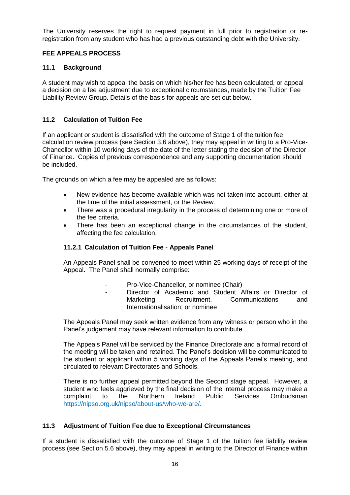The University reserves the right to request payment in full prior to registration or reregistration from any student who has had a previous outstanding debt with the University.

## **FEE APPEALS PROCESS**

## **11.1 Background**

A student may wish to appeal the basis on which his/her fee has been calculated, or appeal a decision on a fee adjustment due to exceptional circumstances, made by the Tuition Fee Liability Review Group. Details of the basis for appeals are set out below.

# **11.2 Calculation of Tuition Fee**

If an applicant or student is dissatisfied with the outcome of Stage 1 of the tuition fee calculation review process (see Section 3.6 above), they may appeal in writing to a Pro-Vice-Chancellor within 10 working days of the date of the letter stating the decision of the Director of Finance. Copies of previous correspondence and any supporting documentation should be included.

The grounds on which a fee may be appealed are as follows:

- New evidence has become available which was not taken into account, either at the time of the initial assessment, or the Review.
- There was a procedural irregularity in the process of determining one or more of the fee criteria.
- There has been an exceptional change in the circumstances of the student, affecting the fee calculation.

## **11.2.1 Calculation of Tuition Fee - Appeals Panel**

An Appeals Panel shall be convened to meet within 25 working days of receipt of the Appeal. The Panel shall normally comprise:

- Pro-Vice-Chancellor, or nominee (Chair)
- Director of Academic and Student Affairs or Director of Marketing. Recruitment. Communications and Internationalisation; or nominee

The Appeals Panel may seek written evidence from any witness or person who in the Panel's judgement may have relevant information to contribute.

The Appeals Panel will be serviced by the Finance Directorate and a formal record of the meeting will be taken and retained. The Panel's decision will be communicated to the student or applicant within 5 working days of the Appeals Panel's meeting, and circulated to relevant Directorates and Schools.

There is no further appeal permitted beyond the Second stage appeal. However, a student who feels aggrieved by the final decision of the internal process may make a complaint to the Northern Ireland Public Services Ombudsman [https://nipso.org.uk/nipso/about-us/who-we-are/.](https://nipso.org.uk/nipso/about-us/who-we-are/)

## **11.3 Adjustment of Tuition Fee due to Exceptional Circumstances**

If a student is dissatisfied with the outcome of Stage 1 of the tuition fee liability review process (see Section 5.6 above), they may appeal in writing to the Director of Finance within